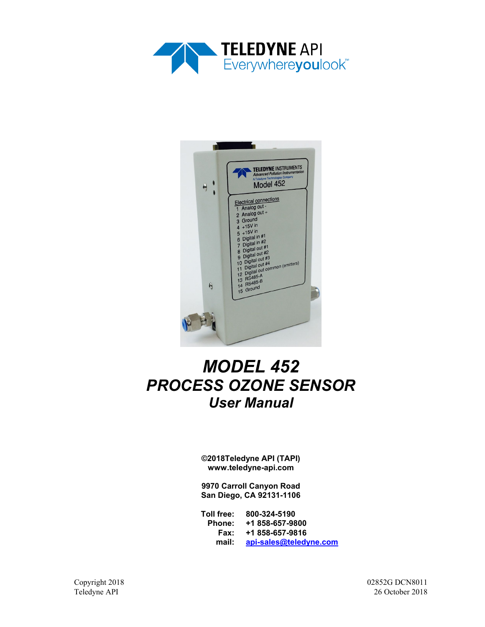



# *MODEL 452 PROCESS OZONE SENSOR User Manual*

**©2018Teledyne API (TAPI) www.teledyne-api.com**

**9970 Carroll Canyon Road San Diego, CA 92131-1106**

**Toll free: 800-324-5190 Phone: +1 858-657-9800 Fax: +1 858-657-9816 mail: [api-sales@teledyne.com](mailto:api-sales@teledyne.com)**

Copyright 2018 02852G DCN8011 Teledyne API 26 October 2018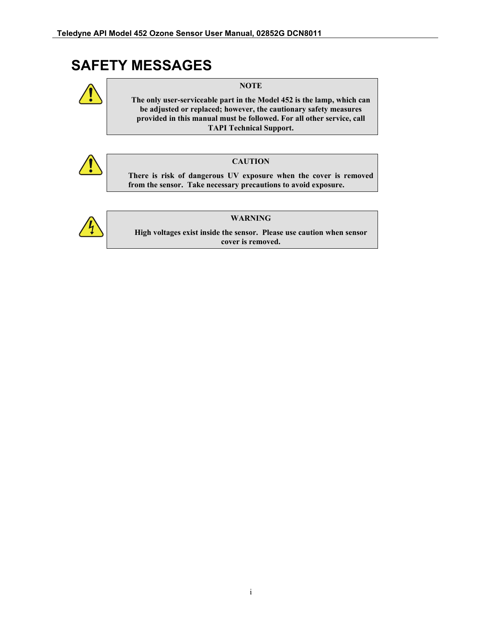## **SAFETY MESSAGES**



**NOTE**

**The only user-serviceable part in the Model 452 is the lamp, which can be adjusted or replaced; however, the cautionary safety measures provided in this manual must be followed. For all other service, call TAPI Technical Support.**



#### **CAUTION**

**There is risk of dangerous UV exposure when the cover is removed from the sensor. Take necessary precautions to avoid exposure.**



#### **WARNING**

**High voltages exist inside the sensor. Please use caution when sensor cover is removed.**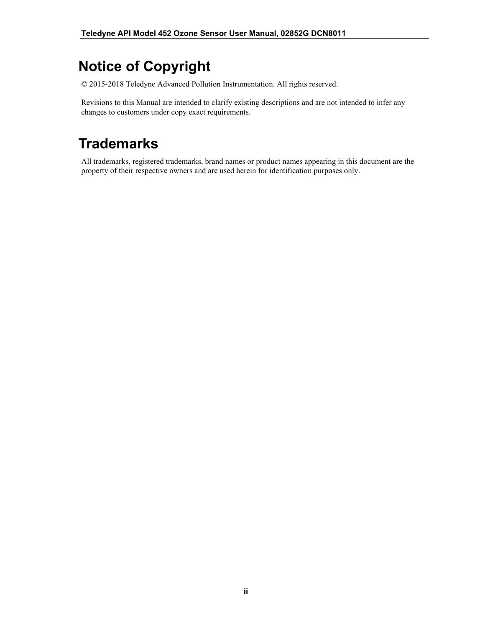## **Notice of Copyright**

© 2015-2018 Teledyne Advanced Pollution Instrumentation. All rights reserved.

Revisions to this Manual are intended to clarify existing descriptions and are not intended to infer any changes to customers under copy exact requirements.

## **Trademarks**

All trademarks, registered trademarks, brand names or product names appearing in this document are the property of their respective owners and are used herein for identification purposes only.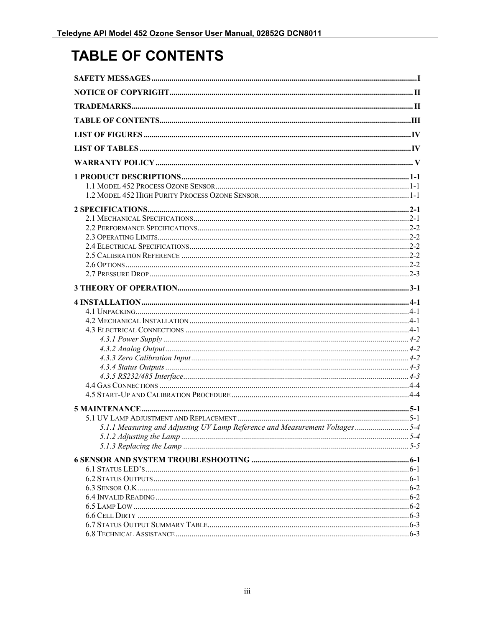## **TABLE OF CONTENTS**

| 5.1.1 Measuring and Adjusting UV Lamp Reference and Measurement Voltages5-4 |  |
|-----------------------------------------------------------------------------|--|
|                                                                             |  |
|                                                                             |  |
|                                                                             |  |
|                                                                             |  |
|                                                                             |  |
|                                                                             |  |
|                                                                             |  |
|                                                                             |  |
|                                                                             |  |
|                                                                             |  |
|                                                                             |  |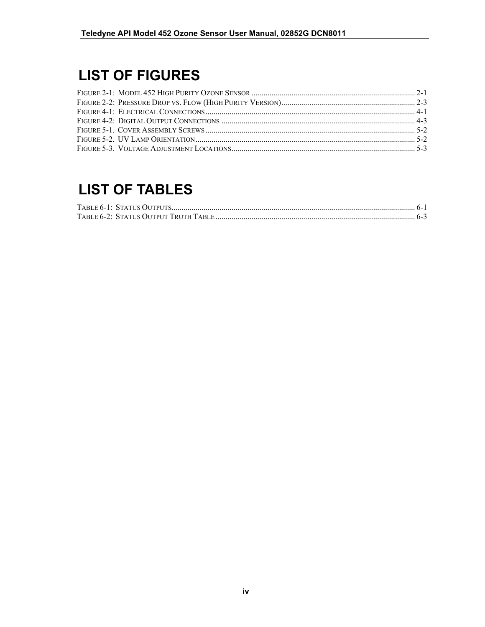## **LIST OF FIGURES**

## **LIST OF TABLES**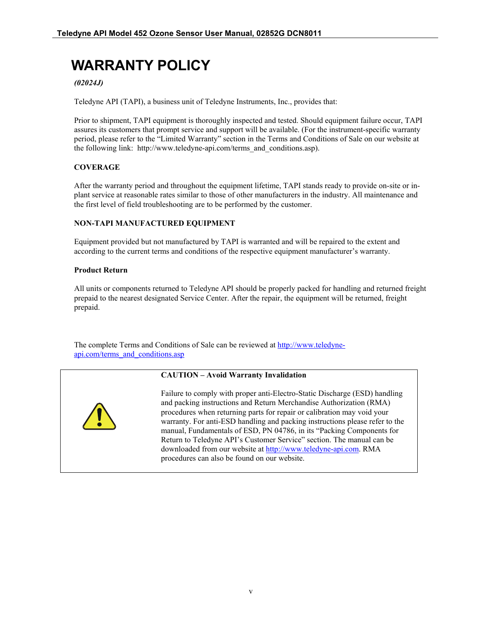## **WARRANTY POLICY**

#### *(02024J)*

Teledyne API (TAPI), a business unit of Teledyne Instruments, Inc., provides that:

Prior to shipment, TAPI equipment is thoroughly inspected and tested. Should equipment failure occur, TAPI assures its customers that prompt service and support will be available. (For the instrument-specific warranty period, please refer to the "Limited Warranty" section in the Terms and Conditions of Sale on our website at the following link: http://www.teledyne-api.com/terms\_and\_conditions.asp).

#### **COVERAGE**

After the warranty period and throughout the equipment lifetime, TAPI stands ready to provide on-site or inplant service at reasonable rates similar to those of other manufacturers in the industry. All maintenance and the first level of field troubleshooting are to be performed by the customer.

#### **NON-TAPI MANUFACTURED EQUIPMENT**

Equipment provided but not manufactured by TAPI is warranted and will be repaired to the extent and according to the current terms and conditions of the respective equipment manufacturer's warranty.

#### **Product Return**

All units or components returned to Teledyne API should be properly packed for handling and returned freight prepaid to the nearest designated Service Center. After the repair, the equipment will be returned, freight prepaid.

The complete Terms and Conditions of Sale can be reviewed a[t http://www.teledyne](http://www.teledyne-api.com/terms_and_conditions.asp)[api.com/terms\\_and\\_conditions.asp](http://www.teledyne-api.com/terms_and_conditions.asp)

#### **CAUTION – Avoid Warranty Invalidation**



Failure to comply with proper anti-Electro-Static Discharge (ESD) handling and packing instructions and Return Merchandise Authorization (RMA) procedures when returning parts for repair or calibration may void your warranty. For anti-ESD handling and packing instructions please refer to the manual, Fundamentals of ESD, PN 04786, in its "Packing Components for Return to Teledyne API's Customer Service" section. The manual can be downloaded from our website a[t http://www.teledyne-api.com.](http://www.teledyne-api.com/) RMA procedures can also be found on our website.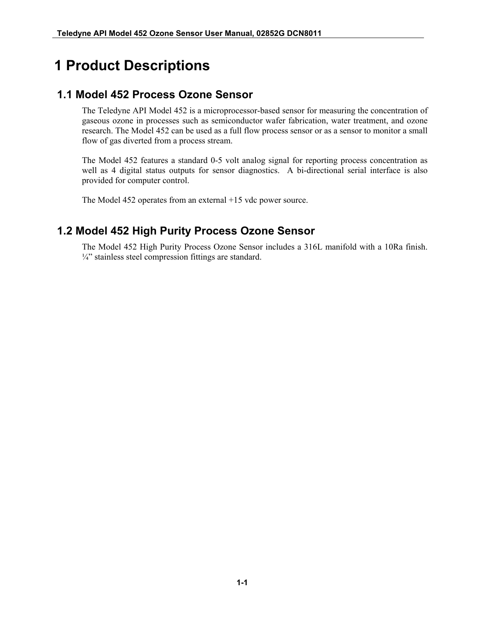## **1 Product Descriptions**

### **1.1 Model 452 Process Ozone Sensor**

The Teledyne API Model 452 is a microprocessor-based sensor for measuring the concentration of gaseous ozone in processes such as semiconductor wafer fabrication, water treatment, and ozone research. The Model 452 can be used as a full flow process sensor or as a sensor to monitor a small flow of gas diverted from a process stream.

The Model 452 features a standard 0-5 volt analog signal for reporting process concentration as well as 4 digital status outputs for sensor diagnostics. A bi-directional serial interface is also provided for computer control.

The Model 452 operates from an external +15 vdc power source.

### **1.2 Model 452 High Purity Process Ozone Sensor**

The Model 452 High Purity Process Ozone Sensor includes a 316L manifold with a 10Ra finish. ¼" stainless steel compression fittings are standard.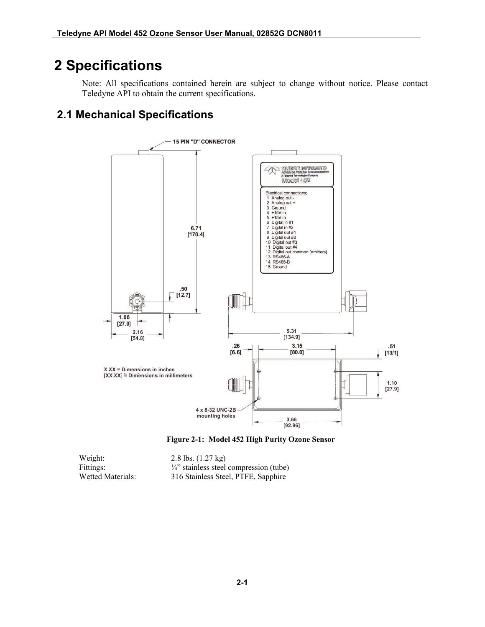## **2 Specifications**

Note: All specifications contained herein are subject to change without notice. Please contact Teledyne API to obtain the current specifications.

## **2.1 Mechanical Specifications**



**Figure 2-1: Model 452 High Purity Ozone Sensor**

<span id="page-10-0"></span>

| Weight:           | 2.8 lbs. $(1.27 \text{ kg})$                       |
|-------------------|----------------------------------------------------|
| Fittings:         | $\frac{1}{4}$ " stainless steel compression (tube) |
| Wetted Materials: | 316 Stainless Steel, PTFE, Sapphire                |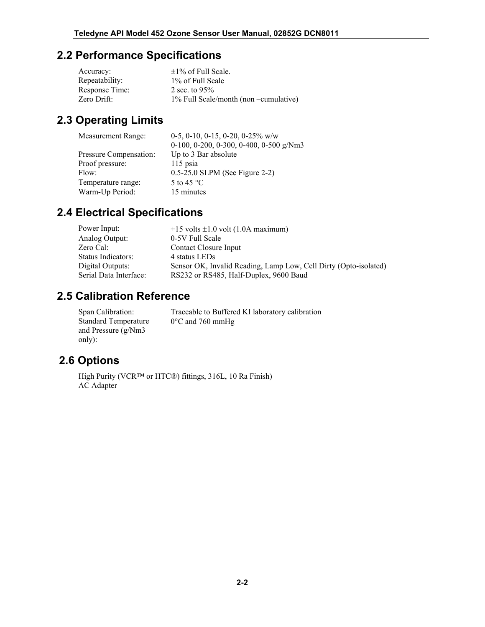### **2.2 Performance Specifications**

| Accuracy:      | $\pm 1\%$ of Full Scale.                    |
|----------------|---------------------------------------------|
| Repeatability: | 1\% of Full Scale                           |
| Response Time: | 2 sec. to $95\%$                            |
| Zero Drift:    | $1\%$ Full Scale/month (non $-cumulative$ ) |

## **2.3 Operating Limits**

| Measurement Range:     | 0-5, 0-10, 0-15, 0-20, 0-25% w/w        |
|------------------------|-----------------------------------------|
|                        | 0-100, 0-200, 0-300, 0-400, 0-500 g/Nm3 |
| Pressure Compensation: | Up to 3 Bar absolute                    |
| Proof pressure:        | 115 psia                                |
| Flow:                  | $0.5-25.0$ SLPM (See Figure 2-2)        |
| Temperature range:     | 5 to 45 $^{\circ}$ C                    |
| Warm-Up Period:        | 15 minutes                              |
|                        |                                         |

## **2.4 Electrical Specifications**

| Power Input:<br>$+15$ volts $\pm 1.0$ volt (1.0A maximum)                            |  |
|--------------------------------------------------------------------------------------|--|
| 0-5V Full Scale<br>Analog Output:                                                    |  |
| Zero Cal:<br>Contact Closure Input                                                   |  |
| Status Indicators:<br>4 status LEDs                                                  |  |
| Sensor OK, Invalid Reading, Lamp Low, Cell Dirty (Opto-isolated)<br>Digital Outputs: |  |
| RS232 or RS485, Half-Duplex, 9600 Baud<br>Serial Data Interface:                     |  |

### **2.5 Calibration Reference**

Span Calibration: Traceable to Buffered KI laboratory calibration Standard Temperature and Pressure (g/Nm3 only): 0°C and 760 mmHg

## **2.6 Options**

High Purity (VCR™ or HTC®) fittings, 316L, 10 Ra Finish) AC Adapter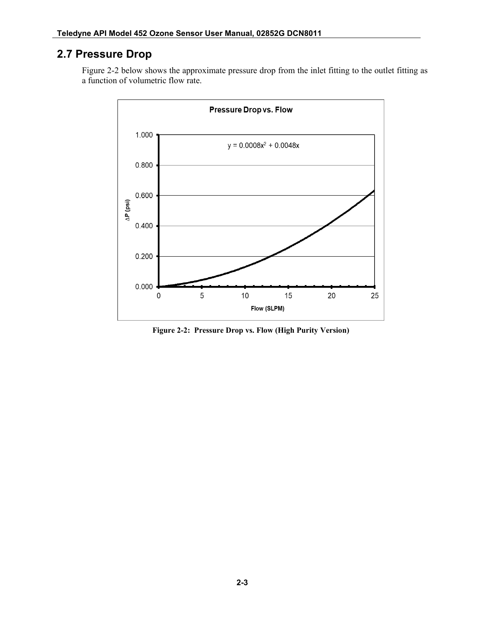## **2.7 Pressure Drop**

[Figure 2-2](#page-12-0) below shows the approximate pressure drop from the inlet fitting to the outlet fitting as a function of volumetric flow rate.



<span id="page-12-0"></span>**Figure 2-2: Pressure Drop vs. Flow (High Purity Version)**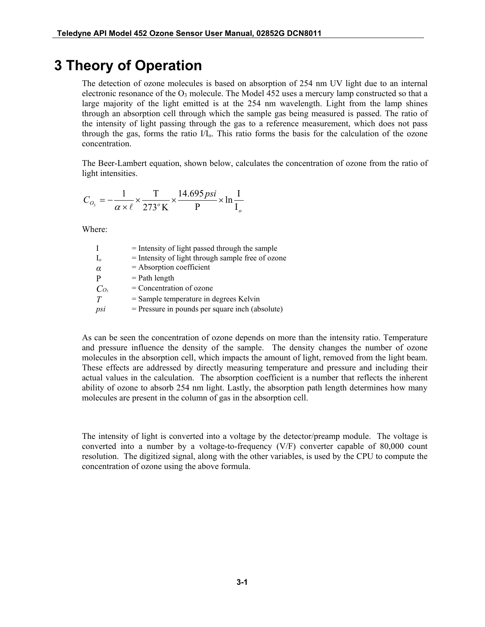## **3 Theory of Operation**

The detection of ozone molecules is based on absorption of 254 nm UV light due to an internal electronic resonance of the  $O_3$  molecule. The Model 452 uses a mercury lamp constructed so that a large majority of the light emitted is at the 254 nm wavelength. Light from the lamp shines through an absorption cell through which the sample gas being measured is passed. The ratio of the intensity of light passing through the gas to a reference measurement, which does not pass through the gas, forms the ratio  $I/I_0$ . This ratio forms the basis for the calculation of the ozone concentration.

The Beer-Lambert equation, shown below, calculates the concentration of ozone from the ratio of light intensities.

$$
C_{O_3} = -\frac{1}{\alpha \times \ell} \times \frac{T}{273^{\circ} \text{K}} \times \frac{14.695 \text{psi}}{\text{P}} \times \ln \frac{\text{I}}{\text{I}_o}
$$

Where:

|                 | $=$ Intensity of light passed through the sample  |
|-----------------|---------------------------------------------------|
|                 | = Intensity of light through sample free of ozone |
|                 | $=$ Absorption coefficient                        |
|                 | $=$ Path length                                   |
| Co <sub>3</sub> | $=$ Concentration of ozone                        |
| T               | $=$ Sample temperature in degrees Kelvin          |
| psi             | $=$ Pressure in pounds per square inch (absolute) |

As can be seen the concentration of ozone depends on more than the intensity ratio. Temperature and pressure influence the density of the sample. The density changes the number of ozone molecules in the absorption cell, which impacts the amount of light, removed from the light beam. These effects are addressed by directly measuring temperature and pressure and including their actual values in the calculation. The absorption coefficient is a number that reflects the inherent ability of ozone to absorb 254 nm light. Lastly, the absorption path length determines how many molecules are present in the column of gas in the absorption cell.

The intensity of light is converted into a voltage by the detector/preamp module. The voltage is converted into a number by a voltage-to-frequency (V/F) converter capable of 80,000 count resolution. The digitized signal, along with the other variables, is used by the CPU to compute the concentration of ozone using the above formula.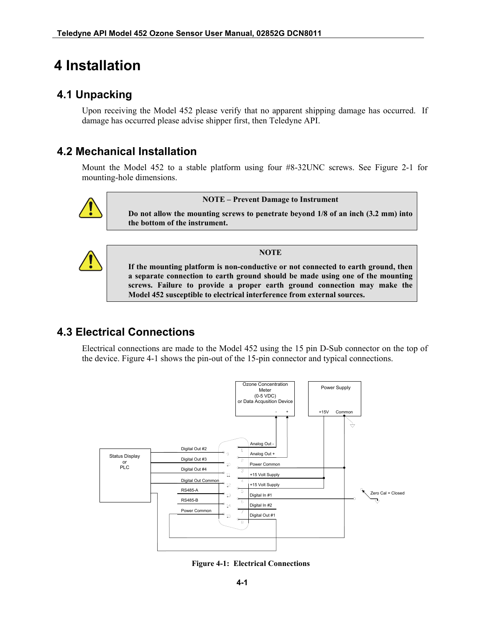## **4 Installation**

## **4.1 Unpacking**

Upon receiving the Model 452 please verify that no apparent shipping damage has occurred. If damage has occurred please advise shipper first, then Teledyne API.

### **4.2 Mechanical Installation**

Mount the Model 452 to a stable platform using four #8-32UNC screws. See [Figure 2-1](#page-10-0) for mounting-hole dimensions.



#### **NOTE – Prevent Damage to Instrument**

**Do not allow the mounting screws to penetrate beyond 1/8 of an inch (3.2 mm) into the bottom of the instrument.**



**NOTE**

**If the mounting platform is non-conductive or not connected to earth ground, then a separate connection to earth ground should be made using one of the mounting screws. Failure to provide a proper earth ground connection may make the Model 452 susceptible to electrical interference from external sources.**

### <span id="page-16-1"></span>**4.3 Electrical Connections**

Electrical connections are made to the Model 452 using the 15 pin D-Sub connector on the top of the device. [Figure 4-1](#page-16-0) shows the pin-out of the 15-pin connector and typical connections.



<span id="page-16-0"></span>**Figure 4-1: Electrical Connections**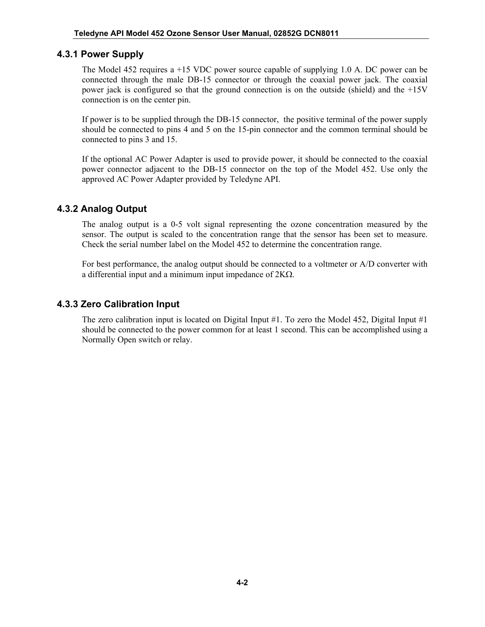#### **4.3.1 Power Supply**

The Model 452 requires a +15 VDC power source capable of supplying 1.0 A. DC power can be connected through the male DB-15 connector or through the coaxial power jack. The coaxial power jack is configured so that the ground connection is on the outside (shield) and the +15V connection is on the center pin.

If power is to be supplied through the DB-15 connector, the positive terminal of the power supply should be connected to pins 4 and 5 on the 15-pin connector and the common terminal should be connected to pins 3 and 15.

If the optional AC Power Adapter is used to provide power, it should be connected to the coaxial power connector adjacent to the DB-15 connector on the top of the Model 452. Use only the approved AC Power Adapter provided by Teledyne API.

#### <span id="page-17-1"></span>**4.3.2 Analog Output**

The analog output is a 0-5 volt signal representing the ozone concentration measured by the sensor. The output is scaled to the concentration range that the sensor has been set to measure. Check the serial number label on the Model 452 to determine the concentration range.

For best performance, the analog output should be connected to a voltmeter or A/D converter with a differential input and a minimum input impedance of  $2K\Omega$ .

#### <span id="page-17-0"></span>**4.3.3 Zero Calibration Input**

The zero calibration input is located on Digital Input #1. To zero the Model 452, Digital Input #1 should be connected to the power common for at least 1 second. This can be accomplished using a Normally Open switch or relay.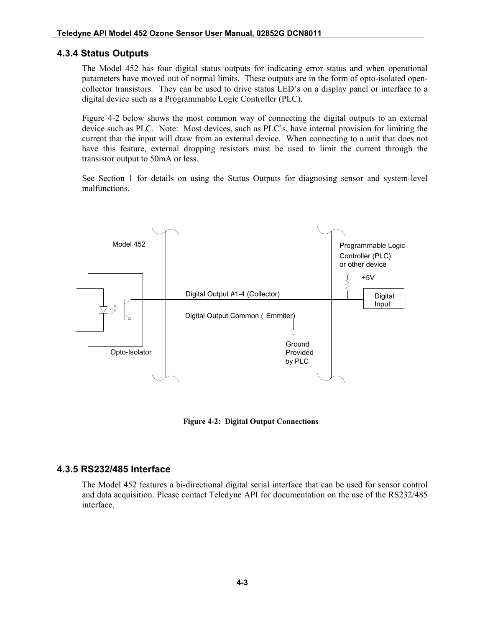#### <span id="page-18-1"></span>**4.3.4 Status Outputs**

The Model 452 has four digital status outputs for indicating error status and when operational parameters have moved out of normal limits. These outputs are in the form of opto-isolated opencollector transistors. They can be used to drive status LED's on a display panel or interface to a digital device such as a Programmable Logic Controller (PLC).

[Figure 4-2](#page-18-0) below shows the most common way of connecting the digital outputs to an external device such as PLC. Note: Most devices, such as PLC's, have internal provision for limiting the current that the input will draw from an external device. When connecting to a unit that does not have this feature, external dropping resistors must be used to limit the current through the transistor output to 50mA or less.

See Section [1](#page-19-0) for details on using the Status Outputs for diagnosing sensor and system-level malfunctions.



**Figure 4-2: Digital Output Connections**

#### <span id="page-18-0"></span>**4.3.5 RS232/485 Interface**

The Model 452 features a bi-directional digital serial interface that can be used for sensor control and data acquisition. Please contact Teledyne API for documentation on the use of the RS232/485 interface.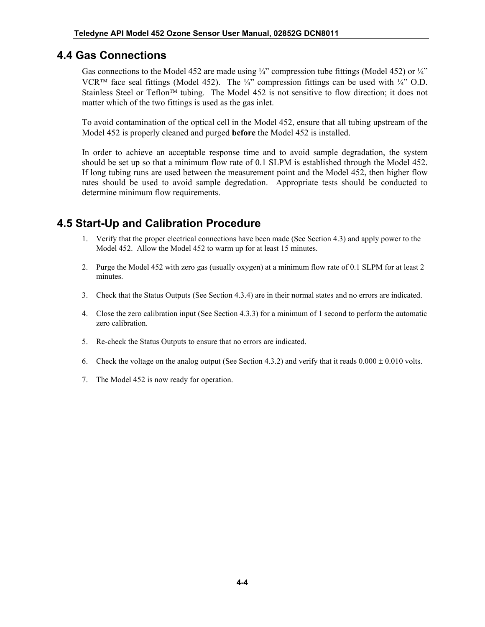### **4.4 Gas Connections**

Gas connections to the Model 452 are made using ¼" compression tube fittings (Model 452) or ¼" VCR<sup>TM</sup> face seal fittings (Model 452). The ¼" compression fittings can be used with ¼" O.D. Stainless Steel or Teflon<sup>TM</sup> tubing. The Model 452 is not sensitive to flow direction; it does not matter which of the two fittings is used as the gas inlet.

To avoid contamination of the optical cell in the Model 452, ensure that all tubing upstream of the Model 452 is properly cleaned and purged **before** the Model 452 is installed.

In order to achieve an acceptable response time and to avoid sample degradation, the system should be set up so that a minimum flow rate of 0.1 SLPM is established through the Model 452. If long tubing runs are used between the measurement point and the Model 452, then higher flow rates should be used to avoid sample degredation. Appropriate tests should be conducted to determine minimum flow requirements.

### **4.5 Start-Up and Calibration Procedure**

- 1. Verify that the proper electrical connections have been made (See Section [4.3\)](#page-16-1) and apply power to the Model 452. Allow the Model 452 to warm up for at least 15 minutes.
- 2. Purge the Model 452 with zero gas (usually oxygen) at a minimum flow rate of 0.1 SLPM for at least 2 minutes.
- 3. Check that the Status Outputs (See Section [4.3.4\)](#page-18-1) are in their normal states and no errors are indicated.
- 4. Close the zero calibration input (See Section [4.3.3\)](#page-17-0) for a minimum of 1 second to perform the automatic zero calibration.
- 5. Re-check the Status Outputs to ensure that no errors are indicated.
- 6. Check the voltage on the analog output (See Section [4.3.2\)](#page-17-1) and verify that it reads  $0.000 \pm 0.010$  volts.
- <span id="page-19-0"></span>7. The Model 452 is now ready for operation.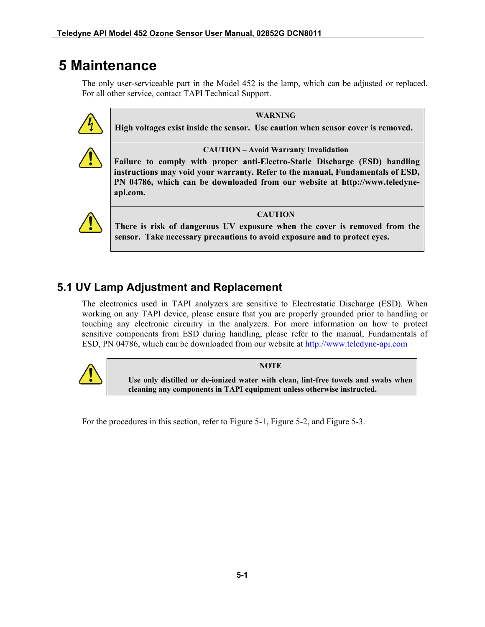## **5 Maintenance**

The only user-serviceable part in the Model 452 is the lamp, which can be adjusted or replaced. For all other service, contact TAPI Technical Support.



**WARNING**

**High voltages exist inside the sensor. Use caution when sensor cover is removed.**



**CAUTION – Avoid Warranty Invalidation**

**Failure to comply with proper anti-Electro-Static Discharge (ESD) handling instructions may void your warranty. Refer to the manual, Fundamentals of ESD, PN 04786, which can be downloaded from our website at [http://www.teledyne](http://www.teledyne-api.com/)[api.com.](http://www.teledyne-api.com/)** 



**CAUTION**

**There is risk of dangerous UV exposure when the cover is removed from the sensor. Take necessary precautions to avoid exposure and to protect eyes.**

## **5.1 UV Lamp Adjustment and Replacement**

The electronics used in TAPI analyzers are sensitive to Electrostatic Discharge (ESD). When working on any TAPI device, please ensure that you are properly grounded prior to handling or touching any electronic circuitry in the analyzers. For more information on how to protect sensitive components from ESD during handling, please refer to the manual, Fundamentals of ESD, PN 04786, which can be downloaded from our website at [http://www.teledyne-api.com](http://www.teledyne-api.com/)



**NOTE**

**Use only distilled or de-ionized water with clean, lint-free towels and swabs when cleaning any components in TAPI equipment unless otherwise instructed.**

For the procedures in this section, refer to [Figure 5-1,](#page-21-0) [Figure 5-2,](#page-21-1) and [Figure 5-3.](#page-22-0)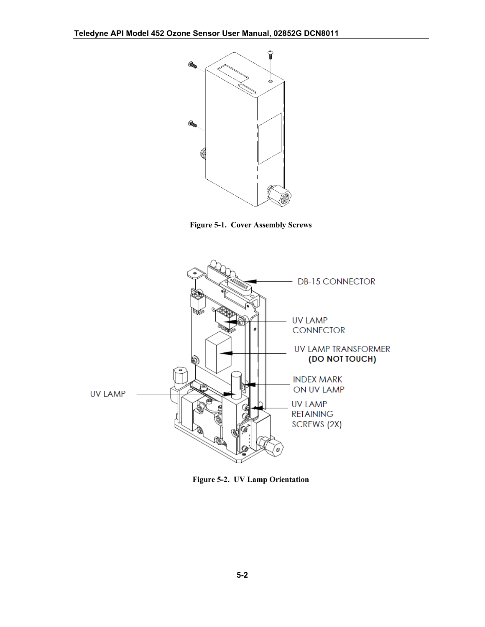

**Figure 5-1. Cover Assembly Screws**

<span id="page-21-0"></span>

<span id="page-21-1"></span>**Figure 5-2. UV Lamp Orientation**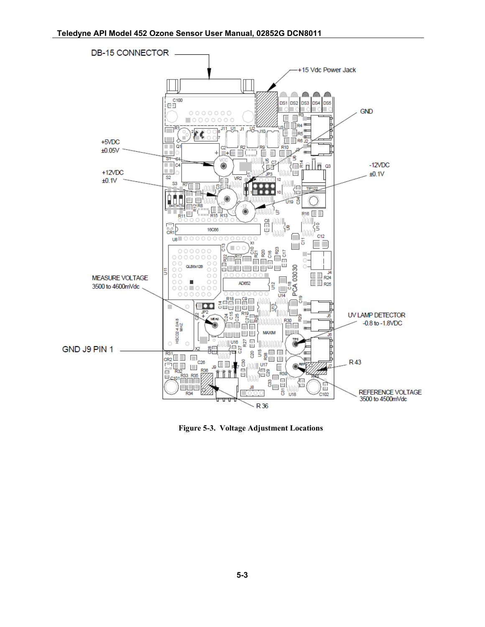

<span id="page-22-0"></span>**Figure 5-3. Voltage Adjustment Locations**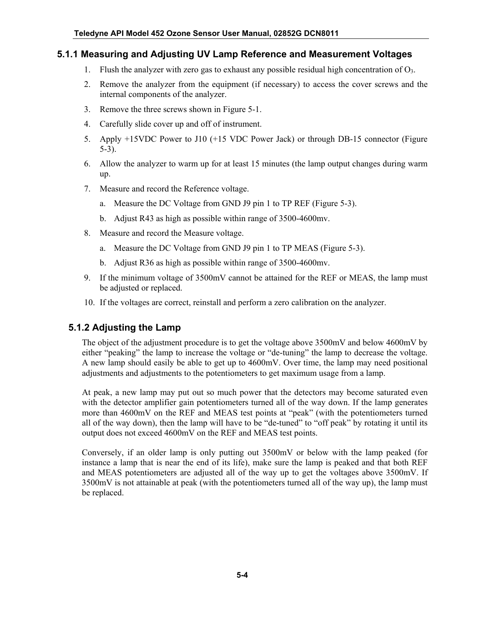#### **5.1.1 Measuring and Adjusting UV Lamp Reference and Measurement Voltages**

- 1. Flush the analyzer with zero gas to exhaust any possible residual high concentration of  $O_3$ .
- 2. Remove the analyzer from the equipment (if necessary) to access the cover screws and the internal components of the analyzer.
- 3. Remove the three screws shown in [Figure 5-1.](#page-21-0)
- 4. Carefully slide cover up and off of instrument.
- 5. Apply +15VDC Power to J10 (+15 VDC Power Jack) or through DB-15 connector [\(Figure](#page-22-0)  [5-3\)](#page-22-0).
- 6. Allow the analyzer to warm up for at least 15 minutes (the lamp output changes during warm up.
- 7. Measure and record the Reference voltage.
	- a. Measure the DC Voltage from GND J9 pin 1 to TP REF [\(Figure 5-3\)](#page-22-0).
	- b. Adjust R43 as high as possible within range of 3500-4600mv.
- 8. Measure and record the Measure voltage.
	- a. Measure the DC Voltage from GND J9 pin 1 to TP MEAS [\(Figure 5-3\)](#page-22-0).
	- b. Adjust R36 as high as possible within range of 3500-4600mv.
- 9. If the minimum voltage of 3500mV cannot be attained for the REF or MEAS, the lamp must be adjusted or replaced.
- 10. If the voltages are correct, reinstall and perform a zero calibration on the analyzer.

#### **5.1.2 Adjusting the Lamp**

The object of the adjustment procedure is to get the voltage above 3500mV and below 4600mV by either "peaking" the lamp to increase the voltage or "de-tuning" the lamp to decrease the voltage. A new lamp should easily be able to get up to 4600mV. Over time, the lamp may need positional adjustments and adjustments to the potentiometers to get maximum usage from a lamp.

At peak, a new lamp may put out so much power that the detectors may become saturated even with the detector amplifier gain potentiometers turned all of the way down. If the lamp generates more than 4600mV on the REF and MEAS test points at "peak" (with the potentiometers turned all of the way down), then the lamp will have to be "de-tuned" to "off peak" by rotating it until its output does not exceed 4600mV on the REF and MEAS test points.

Conversely, if an older lamp is only putting out 3500mV or below with the lamp peaked (for instance a lamp that is near the end of its life), make sure the lamp is peaked and that both REF and MEAS potentiometers are adjusted all of the way up to get the voltages above 3500mV. If 3500mV is not attainable at peak (with the potentiometers turned all of the way up), the lamp must be replaced.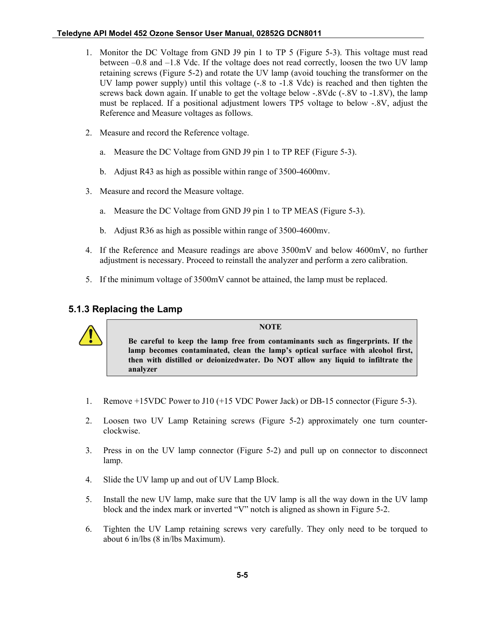#### **Teledyne API Model 452 Ozone Sensor User Manual, 02852G DCN8011**

- 1. Monitor the DC Voltage from GND J9 pin 1 to TP 5 [\(Figure 5-3\)](#page-22-0). This voltage must read between –0.8 and –1.8 Vdc. If the voltage does not read correctly, loosen the two UV lamp retaining screws [\(Figure 5-2\)](#page-21-1) and rotate the UV lamp (avoid touching the transformer on the UV lamp power supply) until this voltage (-.8 to -1.8 Vdc) is reached and then tighten the screws back down again. If unable to get the voltage below -.8Vdc (-.8V to -1.8V), the lamp must be replaced. If a positional adjustment lowers TP5 voltage to below -.8V, adjust the Reference and Measure voltages as follows.
- 2. Measure and record the Reference voltage.
	- a. Measure the DC Voltage from GND J9 pin 1 to TP REF [\(Figure 5-3\)](#page-22-0).
	- b. Adjust R43 as high as possible within range of 3500-4600mv.
- 3. Measure and record the Measure voltage.
	- a. Measure the DC Voltage from GND J9 pin 1 to TP MEAS [\(Figure 5-3\)](#page-22-0).
	- b. Adjust R36 as high as possible within range of 3500-4600mv.
- 4. If the Reference and Measure readings are above 3500mV and below 4600mV, no further adjustment is necessary. Proceed to reinstall the analyzer and perform a zero calibration.
- 5. If the minimum voltage of 3500mV cannot be attained, the lamp must be replaced.

#### **5.1.3 Replacing the Lamp**

#### **NOTE**

**Be careful to keep the lamp free from contaminants such as fingerprints. If the lamp becomes contaminated, clean the lamp's optical surface with alcohol first, then with distilled or deionizedwater. Do NOT allow any liquid to infiltrate the analyzer**

- 1. Remove +15VDC Power to J10 (+15 VDC Power Jack) or DB-15 connector [\(Figure 5-3\)](#page-22-0).
- 2. Loosen two UV Lamp Retaining screws [\(Figure 5-2\)](#page-21-1) approximately one turn counterclockwise.
- 3. Press in on the UV lamp connector [\(Figure 5-2\)](#page-21-1) and pull up on connector to disconnect lamp.
- 4. Slide the UV lamp up and out of UV Lamp Block.
- 5. Install the new UV lamp, make sure that the UV lamp is all the way down in the UV lamp block and the index mark or inverted "V" notch is aligned as shown in [Figure 5-2.](#page-21-1)
- 6. Tighten the UV Lamp retaining screws very carefully. They only need to be torqued to about 6 in/lbs (8 in/lbs Maximum).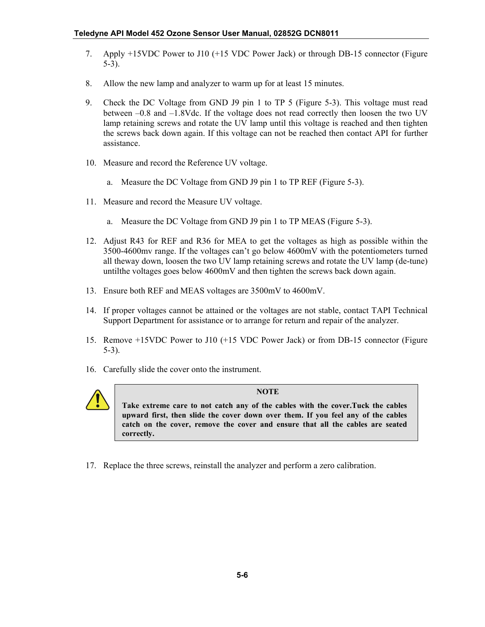- 7. Apply +15VDC Power to J10 (+15 VDC Power Jack) or through DB-15 connector [\(Figure](#page-22-0)  [5-3\)](#page-22-0).
- 8. Allow the new lamp and analyzer to warm up for at least 15 minutes.
- 9. Check the DC Voltage from GND J9 pin 1 to TP 5 [\(Figure 5-3\)](#page-22-0). This voltage must read between –0.8 and –1.8Vdc. If the voltage does not read correctly then loosen the two UV lamp retaining screws and rotate the UV lamp until this voltage is reached and then tighten the screws back down again. If this voltage can not be reached then contact API for further assistance.
- 10. Measure and record the Reference UV voltage.
	- a. Measure the DC Voltage from GND J9 pin 1 to TP REF [\(Figure 5-3\)](#page-22-0).
- 11. Measure and record the Measure UV voltage.
	- a. Measure the DC Voltage from GND J9 pin 1 to TP MEAS [\(Figure 5-3\)](#page-22-0).
- 12. Adjust R43 for REF and R36 for MEA to get the voltages as high as possible within the 3500-4600mv range. If the voltages can't go below 4600mV with the potentiometers turned all theway down, loosen the two UV lamp retaining screws and rotate the UV lamp (de-tune) untilthe voltages goes below 4600mV and then tighten the screws back down again.
- 13. Ensure both REF and MEAS voltages are 3500mV to 4600mV.
- 14. If proper voltages cannot be attained or the voltages are not stable, contact TAPI Technical Support Department for assistance or to arrange for return and repair of the analyzer.
- 15. Remove +15VDC Power to J10 (+15 VDC Power Jack) or from DB-15 connector [\(Figure](#page-22-0)  [5-3\)](#page-22-0).
- 16. Carefully slide the cover onto the instrument.



#### **NOTE**

**Take extreme care to not catch any of the cables with the cover.Tuck the cables upward first, then slide the cover down over them. If you feel any of the cables catch on the cover, remove the cover and ensure that all the cables are seated correctly.**

17. Replace the three screws, reinstall the analyzer and perform a zero calibration.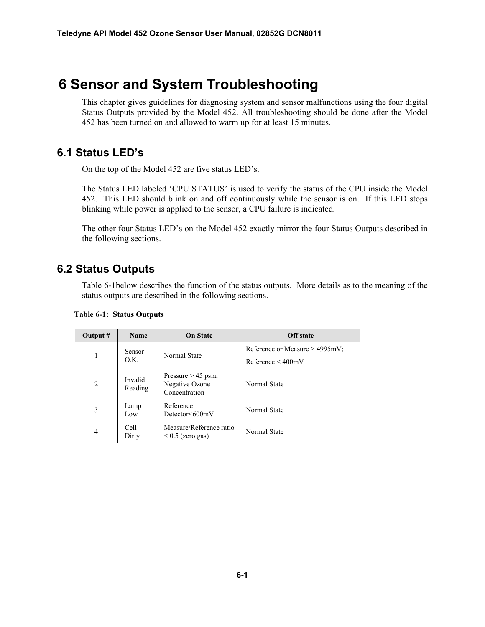## **6 Sensor and System Troubleshooting**

This chapter gives guidelines for diagnosing system and sensor malfunctions using the four digital Status Outputs provided by the Model 452. All troubleshooting should be done after the Model 452 has been turned on and allowed to warm up for at least 15 minutes.

### **6.1 Status LED's**

On the top of the Model 452 are five status LED's.

The Status LED labeled 'CPU STATUS' is used to verify the status of the CPU inside the Model 452. This LED should blink on and off continuously while the sensor is on. If this LED stops blinking while power is applied to the sensor, a CPU failure is indicated.

The other four Status LED's on the Model 452 exactly mirror the four Status Outputs described in the following sections.

### **6.2 Status Outputs**

[Table 6-1b](#page-26-0)elow describes the function of the status outputs. More details as to the meaning of the status outputs are described in the following sections.

| Output #                    | <b>Name</b>           | <b>On State</b>                                          | <b>Off</b> state                                               |
|-----------------------------|-----------------------|----------------------------------------------------------|----------------------------------------------------------------|
|                             | <b>Sensor</b><br>O.K. | Normal State                                             | Reference or Measure $> 4995 \text{mV}$ ;<br>Reference < 400mV |
| $\mathcal{D}_{\mathcal{L}}$ | Invalid<br>Reading    | Pressure $> 45$ psia,<br>Negative Ozone<br>Concentration | Normal State                                                   |
| 3                           | Lamp<br>Low           | Reference<br>$Detector \leq 600$ mV                      | Normal State                                                   |
| 4                           | Cell<br>Dirty         | Measure/Reference ratio<br>$0.5$ (zero gas)              | Normal State                                                   |

#### <span id="page-26-0"></span>**Table 6-1: Status Outputs**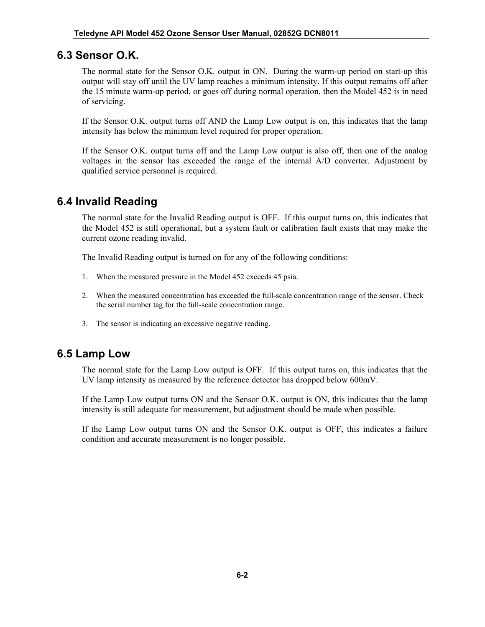### **6.3 Sensor O.K.**

The normal state for the Sensor O.K. output in ON. During the warm-up period on start-up this output will stay off until the UV lamp reaches a minimum intensity. If this output remains off after the 15 minute warm-up period, or goes off during normal operation, then the Model 452 is in need of servicing.

If the Sensor O.K. output turns off AND the Lamp Low output is on, this indicates that the lamp intensity has below the minimum level required for proper operation.

If the Sensor O.K. output turns off and the Lamp Low output is also off, then one of the analog voltages in the sensor has exceeded the range of the internal A/D converter. Adjustment by qualified service personnel is required.

### **6.4 Invalid Reading**

The normal state for the Invalid Reading output is OFF. If this output turns on, this indicates that the Model 452 is still operational, but a system fault or calibration fault exists that may make the current ozone reading invalid.

The Invalid Reading output is turned on for any of the following conditions:

- 1. When the measured pressure in the Model 452 exceeds 45 psia.
- 2. When the measured concentration has exceeded the full-scale concentration range of the sensor. Check the serial number tag for the full-scale concentration range.
- 3. The sensor is indicating an excessive negative reading.

### **6.5 Lamp Low**

The normal state for the Lamp Low output is OFF. If this output turns on, this indicates that the UV lamp intensity as measured by the reference detector has dropped below 600mV.

If the Lamp Low output turns ON and the Sensor O.K. output is ON, this indicates that the lamp intensity is still adequate for measurement, but adjustment should be made when possible.

If the Lamp Low output turns ON and the Sensor O.K. output is OFF, this indicates a failure condition and accurate measurement is no longer possible.